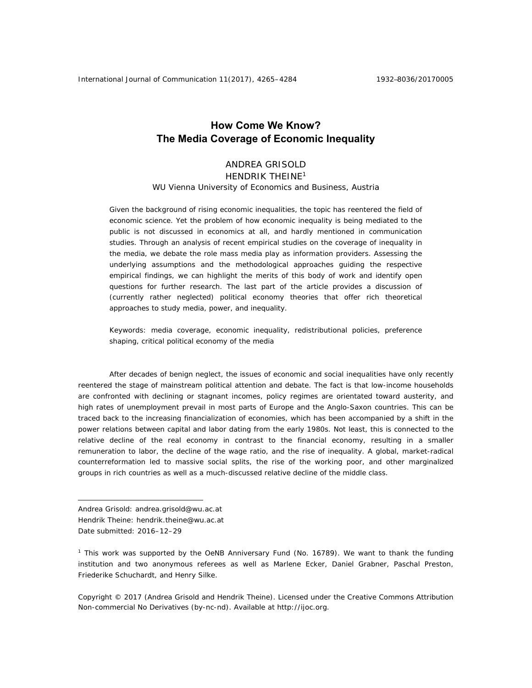# **How Come We Know? The Media Coverage of Economic Inequality**

# ANDREA GRISOLD HENDRIK THEINE1 WU Vienna University of Economics and Business, Austria

Given the background of rising economic inequalities, the topic has reentered the field of economic science. Yet the problem of how economic inequality is being mediated to the public is not discussed in economics at all, and hardly mentioned in communication studies. Through an analysis of recent empirical studies on the coverage of inequality in the media, we debate the role mass media play as information providers. Assessing the underlying assumptions and the methodological approaches guiding the respective empirical findings, we can highlight the merits of this body of work and identify open questions for further research. The last part of the article provides a discussion of (currently rather neglected) political economy theories that offer rich theoretical approaches to study media, power, and inequality.

*Keywords: media coverage, economic inequality, redistributional policies, preference shaping, critical political economy of the media* 

After decades of benign neglect, the issues of economic and social inequalities have only recently reentered the stage of mainstream political attention and debate. The fact is that low-income households are confronted with declining or stagnant incomes, policy regimes are orientated toward austerity, and high rates of unemployment prevail in most parts of Europe and the Anglo-Saxon countries. This can be traced back to the increasing financialization of economies, which has been accompanied by a shift in the power relations between capital and labor dating from the early 1980s. Not least, this is connected to the relative decline of the real economy in contrast to the financial economy, resulting in a smaller remuneration to labor, the decline of the wage ratio, and the rise of inequality. A global, market-radical counterreformation led to massive social splits, the rise of the working poor, and other marginalized groups in rich countries as well as a much-discussed relative decline of the middle class.

Andrea Grisold: andrea.grisold@wu.ac.at Hendrik Theine: hendrik.theine@wu.ac.at Date submitted: 2016–12–29

 $\overline{a}$ 

1 This work was supported by the OeNB Anniversary Fund (No. 16789). We want to thank the funding institution and two anonymous referees as well as Marlene Ecker, Daniel Grabner, Paschal Preston, Friederike Schuchardt, and Henry Silke.

Copyright © 2017 (Andrea Grisold and Hendrik Theine). Licensed under the Creative Commons Attribution Non-commercial No Derivatives (by-nc-nd). Available at http://ijoc.org.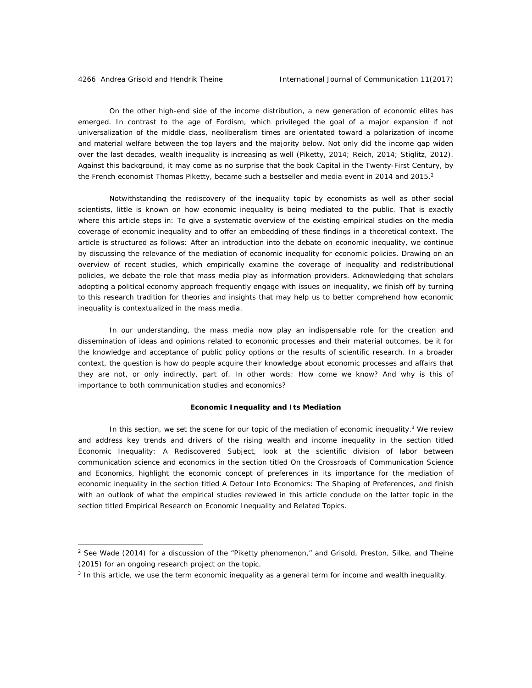On the other high-end side of the income distribution, a new generation of economic elites has emerged. In contrast to the age of Fordism, which privileged the goal of a major expansion if not universalization of the middle class, neoliberalism times are orientated toward a polarization of income and material welfare between the top layers and the majority below. Not only did the income gap widen over the last decades, wealth inequality is increasing as well (Piketty, 2014; Reich, 2014; Stiglitz, 2012). Against this background, it may come as no surprise that the book *Capital in the Twenty-First Century,* by the French economist Thomas Piketty, became such a bestseller and media event in 2014 and 2015.<sup>2</sup>

Notwithstanding the rediscovery of the inequality topic by economists as well as other social scientists, little is known on how economic inequality is being mediated to the public. That is exactly where this article steps in: To give a systematic overview of the existing empirical studies on the media coverage of economic inequality and to offer an embedding of these findings in a theoretical context. The article is structured as follows: After an introduction into the debate on economic inequality, we continue by discussing the relevance of the mediation of economic inequality for economic policies. Drawing on an overview of recent studies, which empirically examine the coverage of inequality and redistributional policies, we debate the role that mass media play as information providers. Acknowledging that scholars adopting a political economy approach frequently engage with issues on inequality, we finish off by turning to this research tradition for theories and insights that may help us to better comprehend how economic inequality is contextualized in the mass media.

In our understanding, the mass media now play an indispensable role for the creation and dissemination of ideas and opinions related to economic processes and their material outcomes, be it for the knowledge and acceptance of public policy options or the results of scientific research. In a broader context, the question is how do people acquire their knowledge about economic processes and affairs that they are not, or only indirectly, part of. In other words: How come we know? And why is this of importance to both communication studies and economics?

#### **Economic Inequality and Its Mediation**

In this section, we set the scene for our topic of the mediation of economic inequality. $3$  We review and address key trends and drivers of the rising wealth and income inequality in the section titled Economic Inequality: A Rediscovered Subject, look at the scientific division of labor between communication science and economics in the section titled On the Crossroads of Communication Science and Economics, highlight the economic concept of preferences in its importance for the mediation of economic inequality in the section titled A Detour Into Economics: The Shaping of Preferences, and finish with an outlook of what the empirical studies reviewed in this article conclude on the latter topic in the section titled Empirical Research on Economic Inequality and Related Topics.

 $2$  See Wade (2014) for a discussion of the "Piketty phenomenon," and Grisold, Preston, Silke, and Theine (2015) for an ongoing research project on the topic.

<sup>3</sup> In this article, we use the term *economic inequality* as a general term for income and wealth inequality.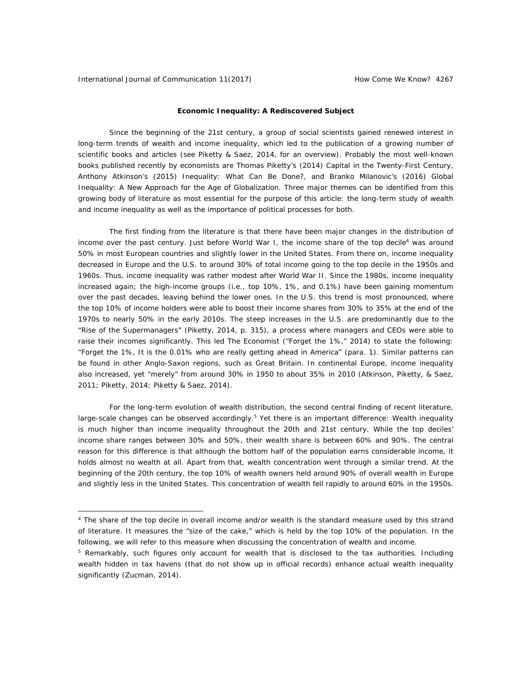# *Economic Inequality: A Rediscovered Subject*

Since the beginning of the 21st century, a group of social scientists gained renewed interest in long-term trends of wealth and income inequality, which led to the publication of a growing number of scientific books and articles (see Piketty & Saez, 2014, for an overview). Probably the most well-known books published recently by economists are Thomas Piketty's (2014) *Capital in the Twenty-First Century*, Anthony Atkinson's (2015) *Inequality: What Can Be Done?*, and Branko Milanovic's (2016) *Global Inequality: A New Approach for the Age of Globalization*. Three major themes can be identified from this growing body of literature as most essential for the purpose of this article: the long-term study of wealth and income inequality as well as the importance of political processes for both.

The first finding from the literature is that there have been major changes in the distribution of income over the past century. Just before World War I, the income share of the top decile<sup>4</sup> was around 50% in most European countries and slightly lower in the United States. From there on, income inequality decreased in Europe and the U.S. to around 30% of total income going to the top decile in the 1950s and 1960s. Thus, income inequality was rather modest after World War II. Since the 1980s, income inequality increased again; the high-income groups (i.e., top 10%, 1%, and 0.1%) have been gaining momentum over the past decades, leaving behind the lower ones. In the U.S. this trend is most pronounced, where the top 10% of income holders were able to boost their income shares from 30% to 35% at the end of the 1970s to nearly 50% in the early 2010s. The steep increases in the U.S. are predominantly due to the "Rise of the Supermanagers" (Piketty, 2014, p. 315), a process where managers and CEOs were able to raise their incomes significantly. This led *The Economist* ("Forget the 1%," 2014) to state the following: "Forget the 1%, It is the 0.01% who are really getting ahead in America" (para. 1). Similar patterns can be found in other Anglo-Saxon regions, such as Great Britain. In continental Europe, income inequality also increased, yet "merely" from around 30% in 1950 to about 35% in 2010 (Atkinson, Piketty, & Saez, 2011; Piketty, 2014; Piketty & Saez, 2014).

For the long-term evolution of wealth distribution, the second central finding of recent literature, large-scale changes can be observed accordingly.<sup>5</sup> Yet there is an important difference: Wealth inequality is much higher than income inequality throughout the 20th and 21st century. While the top deciles' income share ranges between 30% and 50%, their wealth share is between 60% and 90%. The central reason for this difference is that although the bottom half of the population earns considerable income, it holds almost no wealth at all. Apart from that, wealth concentration went through a similar trend. At the beginning of the 20th century, the top 10% of wealth owners held around 90% of overall wealth in Europe and slightly less in the United States. This concentration of wealth fell rapidly to around 60% in the 1950s.

<sup>&</sup>lt;sup>4</sup> The share of the top decile in overall income and/or wealth is the standard measure used by this strand of literature. It measures the "size of the cake," which is held by the top 10% of the population. In the following, we will refer to this measure when discussing the concentration of wealth and income.

<sup>&</sup>lt;sup>5</sup> Remarkably, such figures only account for wealth that is disclosed to the tax authorities. Including wealth hidden in tax havens (that do not show up in official records) enhance actual wealth inequality significantly (Zucman, 2014).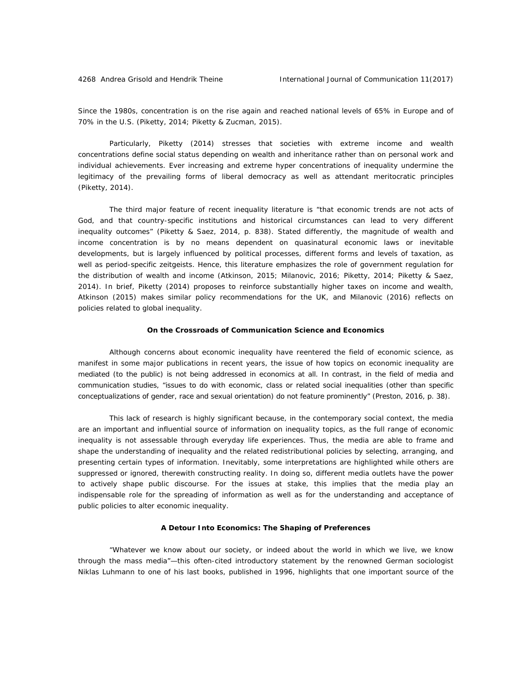Since the 1980s, concentration is on the rise again and reached national levels of 65% in Europe and of 70% in the U.S. (Piketty, 2014; Piketty & Zucman, 2015).

Particularly, Piketty (2014) stresses that societies with extreme income and wealth concentrations define social status depending on wealth and inheritance rather than on personal work and individual achievements. Ever increasing and extreme hyper concentrations of inequality undermine the legitimacy of the prevailing forms of liberal democracy as well as attendant meritocratic principles (Piketty, 2014).

The third major feature of recent inequality literature is "that economic trends are not acts of God, and that country-specific institutions and historical circumstances can lead to very different inequality outcomes" (Piketty & Saez, 2014, p. 838). Stated differently, the magnitude of wealth and income concentration is by no means dependent on quasinatural economic laws or inevitable developments, but is largely influenced by political processes, different forms and levels of taxation, as well as period-specific zeitgeists. Hence, this literature emphasizes the role of government regulation for the distribution of wealth and income (Atkinson, 2015; Milanovic, 2016; Piketty, 2014; Piketty & Saez, 2014). In brief, Piketty (2014) proposes to reinforce substantially higher taxes on income and wealth, Atkinson (2015) makes similar policy recommendations for the UK, and Milanovic (2016) reflects on policies related to global inequality.

# *On the Crossroads of Communication Science and Economics*

Although concerns about economic inequality have reentered the field of economic science, as manifest in some major publications in recent years, the issue of how topics on economic inequality are mediated (to the public) is not being addressed in economics at all. In contrast, in the field of media and communication studies, "issues to do with economic, class or related social inequalities (other than specific conceptualizations of gender, race and sexual orientation) do not feature prominently" (Preston, 2016, p. 38).

This lack of research is highly significant because, in the contemporary social context, the media are an important and influential source of information on inequality topics, as the full range of economic inequality is not assessable through everyday life experiences. Thus, the media are able to frame and shape the understanding of inequality and the related redistributional policies by selecting, arranging, and presenting certain types of information. Inevitably, some interpretations are highlighted while others are suppressed or ignored, therewith constructing reality. In doing so, different media outlets have the power to actively shape public discourse. For the issues at stake, this implies that the media play an indispensable role for the spreading of information as well as for the understanding and acceptance of public policies to alter economic inequality.

# *A Detour Into Economics: The Shaping of Preferences*

"Whatever we know about our society, or indeed about the world in which we live, we know through the mass media"—this often-cited introductory statement by the renowned German sociologist Niklas Luhmann to one of his last books, published in 1996, highlights that one important source of the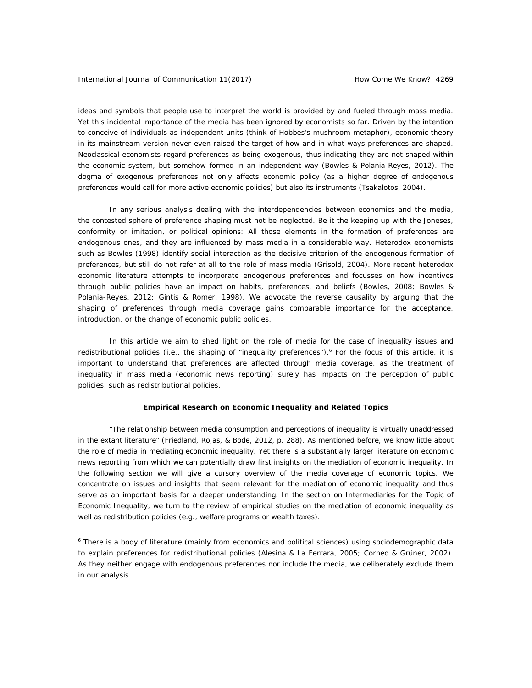ideas and symbols that people use to interpret the world is provided by and fueled through mass media. Yet this incidental importance of the media has been ignored by economists so far. Driven by the intention to conceive of individuals as independent units (think of Hobbes's mushroom metaphor), economic theory in its mainstream version never even raised the target of how and in what ways preferences are shaped. Neoclassical economists regard preferences as being exogenous, thus indicating they are not shaped within the economic system, but somehow formed in an independent way (Bowles & Polania-Reyes, 2012). The dogma of exogenous preferences not only affects economic policy (as a higher degree of endogenous preferences would call for more active economic policies) but also its instruments (Tsakalotos, 2004).

In any serious analysis dealing with the interdependencies between economics and the media, the contested sphere of preference shaping must not be neglected. Be it the keeping up with the Joneses, conformity or imitation, or political opinions: All those elements in the formation of preferences are endogenous ones, and they are influenced by mass media in a considerable way. Heterodox economists such as Bowles (1998) identify social interaction as the decisive criterion of the endogenous formation of preferences, but still do not refer at all to the role of mass media (Grisold, 2004). More recent heterodox economic literature attempts to incorporate endogenous preferences and focusses on how incentives through public policies have an impact on habits, preferences, and beliefs (Bowles, 2008; Bowles & Polania-Reyes, 2012; Gintis & Romer, 1998). We advocate the reverse causality by arguing that the shaping of preferences through media coverage gains comparable importance for the acceptance, introduction, or the change of economic public policies.

In this article we aim to shed light on the role of media for the case of inequality issues and redistributional policies (i.e., the shaping of "inequality preferences").<sup>6</sup> For the focus of this article, it is important to understand that preferences are affected through media coverage, as the treatment of inequality in mass media (economic news reporting) surely has impacts on the perception of public policies, such as redistributional policies.

#### **Empirical Research on Economic Inequality and Related Topics**

"The relationship between media consumption and perceptions of inequality is virtually unaddressed in the extant literature" (Friedland, Rojas, & Bode, 2012, p. 288). As mentioned before, we know little about the role of media in mediating economic inequality. Yet there is a substantially larger literature on economic news reporting from which we can potentially draw first insights on the mediation of economic inequality. In the following section we will give a cursory overview of the media coverage of economic topics. We concentrate on issues and insights that seem relevant for the mediation of economic inequality and thus serve as an important basis for a deeper understanding. In the section on Intermediaries for the Topic of Economic Inequality, we turn to the review of empirical studies on the mediation of economic inequality as well as redistribution policies (e.g., welfare programs or wealth taxes).

<sup>&</sup>lt;sup>6</sup> There is a body of literature (mainly from economics and political sciences) using sociodemographic data to explain preferences for redistributional policies (Alesina & La Ferrara, 2005; Corneo & Grüner, 2002). As they neither engage with endogenous preferences nor include the media, we deliberately exclude them in our analysis.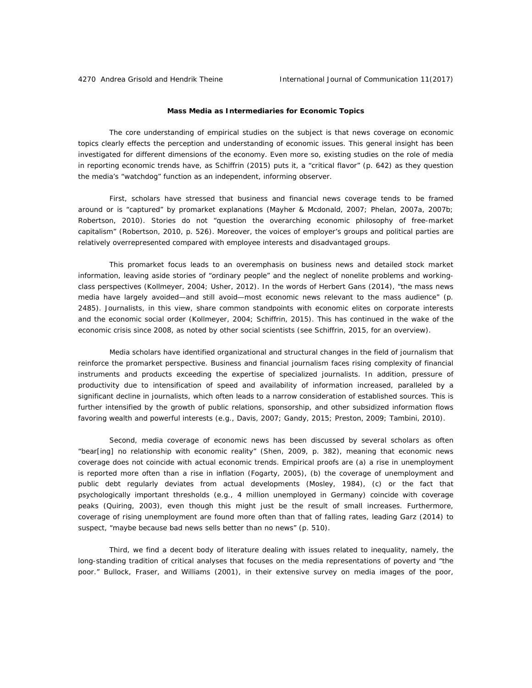# *Mass Media as Intermediaries for Economic Topics*

The core understanding of empirical studies on the subject is that news coverage on economic topics clearly effects the perception and understanding of economic issues. This general insight has been investigated for different dimensions of the economy. Even more so, existing studies on the role of media in reporting economic trends have, as Schiffrin (2015) puts it, a "critical flavor" (p. 642) as they question the media's "watchdog" function as an independent, informing observer.

First, scholars have stressed that business and financial news coverage tends to be framed around or is "captured" by promarket explanations (Mayher & Mcdonald, 2007; Phelan, 2007a, 2007b; Robertson, 2010). Stories do not "question the overarching economic philosophy of free-market capitalism" (Robertson, 2010, p. 526). Moreover, the voices of employer's groups and political parties are relatively overrepresented compared with employee interests and disadvantaged groups.

This promarket focus leads to an overemphasis on business news and detailed stock market information, leaving aside stories of "ordinary people" and the neglect of nonelite problems and workingclass perspectives (Kollmeyer, 2004; Usher, 2012). In the words of Herbert Gans (2014), "the mass news media have largely avoided—and still avoid—most economic news relevant to the mass audience" (p. 2485). Journalists, in this view, share common standpoints with economic elites on corporate interests and the economic social order (Kollmeyer, 2004; Schiffrin, 2015). This has continued in the wake of the economic crisis since 2008, as noted by other social scientists (see Schiffrin, 2015, for an overview).

Media scholars have identified organizational and structural changes in the field of journalism that reinforce the promarket perspective. Business and financial journalism faces rising complexity of financial instruments and products exceeding the expertise of specialized journalists. In addition, pressure of productivity due to intensification of speed and availability of information increased, paralleled by a significant decline in journalists, which often leads to a narrow consideration of established sources. This is further intensified by the growth of public relations, sponsorship, and other subsidized information flows favoring wealth and powerful interests (e.g., Davis, 2007; Gandy, 2015; Preston, 2009; Tambini, 2010).

Second, media coverage of economic news has been discussed by several scholars as often "bear[ing] no relationship with economic reality" (Shen, 2009, p. 382), meaning that economic news coverage does not coincide with actual economic trends. Empirical proofs are (a) a rise in unemployment is reported more often than a rise in inflation (Fogarty, 2005), (b) the coverage of unemployment and public debt regularly deviates from actual developments (Mosley, 1984), (c) or the fact that psychologically important thresholds (e.g., 4 million unemployed in Germany) coincide with coverage peaks (Quiring, 2003), even though this might just be the result of small increases. Furthermore, coverage of rising unemployment are found more often than that of falling rates, leading Garz (2014) to suspect, "maybe because bad news sells better than no news" (p. 510).

Third, we find a decent body of literature dealing with issues related to inequality, namely, the long-standing tradition of critical analyses that focuses on the media representations of poverty and "the poor." Bullock, Fraser, and Williams (2001), in their extensive survey on media images of the poor,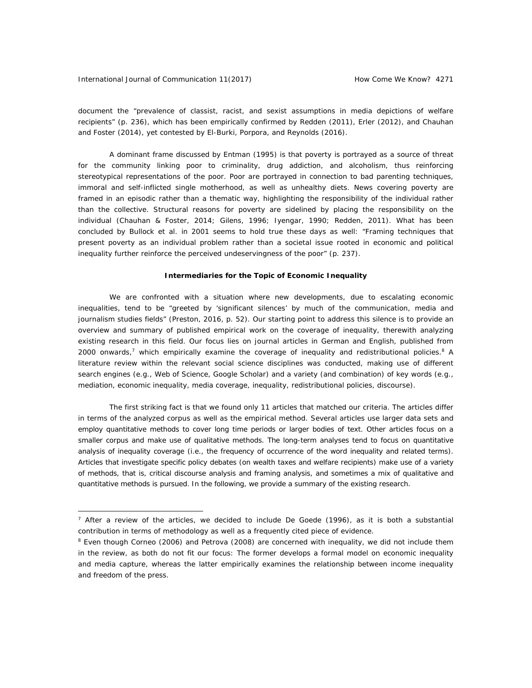#### International Journal of Communication 11(2017) How Come We Know? 4271

 $\overline{a}$ 

document the "prevalence of classist, racist, and sexist assumptions in media depictions of welfare recipients" (p. 236), which has been empirically confirmed by Redden (2011), Erler (2012), and Chauhan and Foster (2014), yet contested by El-Burki, Porpora, and Reynolds (2016).

A dominant frame discussed by Entman (1995) is that poverty is portrayed as a source of threat for the community linking poor to criminality, drug addiction, and alcoholism, thus reinforcing stereotypical representations of the poor. Poor are portrayed in connection to bad parenting techniques, immoral and self-inflicted single motherhood, as well as unhealthy diets. News covering poverty are framed in an episodic rather than a thematic way, highlighting the responsibility of the individual rather than the collective. Structural reasons for poverty are sidelined by placing the responsibility on the individual (Chauhan & Foster, 2014; Gilens, 1996; Iyengar, 1990; Redden, 2011). What has been concluded by Bullock et al. in 2001 seems to hold true these days as well: "Framing techniques that present poverty as an individual problem rather than a societal issue rooted in economic and political inequality further reinforce the perceived undeservingness of the poor" (p. 237).

# *Intermediaries for the Topic of Economic Inequality*

We are confronted with a situation where new developments, due to escalating economic inequalities, tend to be "greeted by 'significant silences' by much of the communication, media and journalism studies fields" (Preston, 2016, p. 52). Our starting point to address this silence is to provide an overview and summary of published empirical work on the coverage of inequality, therewith analyzing existing research in this field. Our focus lies on journal articles in German and English, published from  $2000$  onwards,<sup>7</sup> which empirically examine the coverage of inequality and redistributional policies.<sup>8</sup> A literature review within the relevant social science disciplines was conducted, making use of different search engines (e.g., Web of Science, Google Scholar) and a variety (and combination) of key words (e.g., mediation, economic inequality, media coverage, inequality, redistributional policies, discourse).

The first striking fact is that we found only 11 articles that matched our criteria. The articles differ in terms of the analyzed corpus as well as the empirical method. Several articles use larger data sets and employ quantitative methods to cover long time periods or larger bodies of text. Other articles focus on a smaller corpus and make use of qualitative methods. The long-term analyses tend to focus on quantitative analysis of inequality coverage (i.e., the frequency of occurrence of the word *inequality* and related terms). Articles that investigate specific policy debates (on wealth taxes and welfare recipients) make use of a variety of methods, that is, critical discourse analysis and framing analysis, and sometimes a mix of qualitative and quantitative methods is pursued. In the following, we provide a summary of the existing research.

 $7$  After a review of the articles, we decided to include De Goede (1996), as it is both a substantial contribution in terms of methodology as well as a frequently cited piece of evidence.

<sup>&</sup>lt;sup>8</sup> Even though Corneo (2006) and Petrova (2008) are concerned with inequality, we did not include them in the review, as both do not fit our focus: The former develops a formal model on economic inequality and media capture, whereas the latter empirically examines the relationship between income inequality and freedom of the press.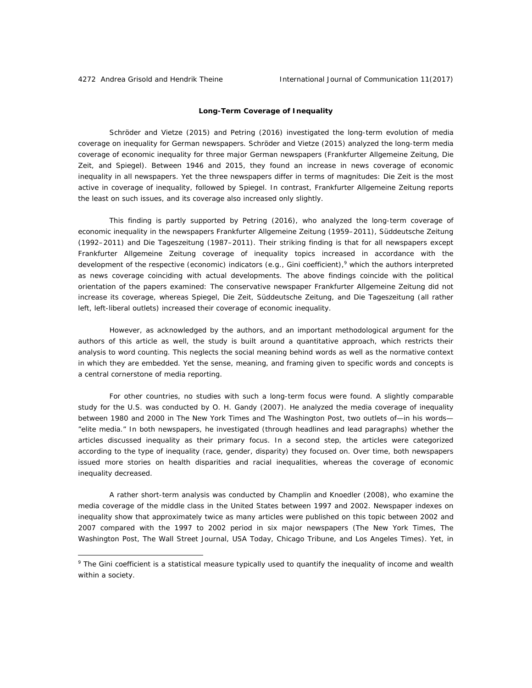# *Long-Term Coverage of Inequality*

Schröder and Vietze (2015) and Petring (2016) investigated the long-term evolution of media coverage on inequality for German newspapers. Schröder and Vietze (2015) analyzed the long-term media coverage of economic inequality for three major German newspapers (*Frankfurter Allgemeine Zeitung*, *Die Zeit*, and *Spiegel*). Between 1946 and 2015, they found an increase in news coverage of economic inequality in all newspapers. Yet the three newspapers differ in terms of magnitudes: *Die Zeit* is the most active in coverage of inequality, followed by *Spiegel*. In contrast, *Frankfurter Allgemeine Zeitung* reports the least on such issues, and its coverage also increased only slightly.

This finding is partly supported by Petring (2016), who analyzed the long-term coverage of economic inequality in the newspapers *Frankfurter Allgemeine Zeitung* (1959–2011), *Süddeutsche Zeitung* (1992–2011) and *Die Tageszeitung* (1987–2011). Their striking finding is that for all newspapers except *Frankfurter Allgemeine Zeitung* coverage of inequality topics increased in accordance with the development of the respective (economic) indicators (e.g., Gini coefficient),<sup>9</sup> which the authors interpreted as news coverage coinciding with actual developments. The above findings coincide with the political orientation of the papers examined: The conservative newspaper *Frankfurter Allgemeine Zeitung* did not increase its coverage, whereas *Spiegel*, *Die Zeit*, *Süddeutsche Zeitung*, and *Die Tageszeitung* (all rather left, left-liberal outlets) increased their coverage of economic inequality.

However, as acknowledged by the authors, and an important methodological argument for the authors of this article as well, the study is built around a quantitative approach, which restricts their analysis to word counting. This neglects the social meaning behind words as well as the normative context in which they are embedded. Yet the sense, meaning, and framing given to specific words and concepts is a central cornerstone of media reporting.

For other countries, no studies with such a long-term focus were found. A slightly comparable study for the U.S. was conducted by O. H. Gandy (2007). He analyzed the media coverage of inequality between 1980 and 2000 in *The New York Times* and *The Washington Post*, two outlets of—in his words— "elite media." In both newspapers, he investigated (through headlines and lead paragraphs) whether the articles discussed inequality as their primary focus. In a second step, the articles were categorized according to the type of inequality (race, gender, disparity) they focused on. Over time, both newspapers issued more stories on health disparities and racial inequalities, whereas the coverage of economic inequality decreased.

A rather short-term analysis was conducted by Champlin and Knoedler (2008), who examine the media coverage of the middle class in the United States between 1997 and 2002. Newspaper indexes on inequality show that approximately twice as many articles were published on this topic between 2002 and 2007 compared with the 1997 to 2002 period in six major newspapers (*The New York Times, The Washington Post, The Wall Street Journal, USA Today, Chicago Tribune,* and *Los Angeles Times*). Yet, in

<sup>&</sup>lt;sup>9</sup> The Gini coefficient is a statistical measure typically used to quantify the inequality of income and wealth within a society.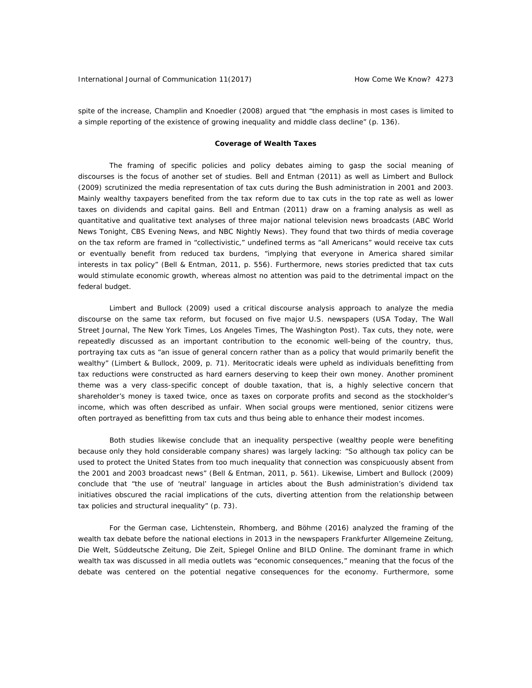spite of the increase, Champlin and Knoedler (2008) argued that "the emphasis in most cases is limited to a simple reporting of the existence of growing inequality and middle class decline" (p. 136).

#### *Coverage of Wealth Taxes*

The framing of specific policies and policy debates aiming to gasp the social meaning of discourses is the focus of another set of studies. Bell and Entman (2011) as well as Limbert and Bullock (2009) scrutinized the media representation of tax cuts during the Bush administration in 2001 and 2003. Mainly wealthy taxpayers benefited from the tax reform due to tax cuts in the top rate as well as lower taxes on dividends and capital gains. Bell and Entman (2011) draw on a framing analysis as well as quantitative and qualitative text analyses of three major national television news broadcasts (*ABC World News Tonight, CBS Evening News,* and *NBC Nightly News*). They found that two thirds of media coverage on the tax reform are framed in "collectivistic," undefined terms as "all Americans" would receive tax cuts or eventually benefit from reduced tax burdens, "implying that everyone in America shared similar interests in tax policy" (Bell & Entman, 2011, p. 556). Furthermore, news stories predicted that tax cuts would stimulate economic growth, whereas almost no attention was paid to the detrimental impact on the federal budget.

Limbert and Bullock (2009) used a critical discourse analysis approach to analyze the media discourse on the same tax reform, but focused on five major U.S. newspapers (*USA Today, The Wall Street Journal, The New York Times, Los Angeles Times, The Washington Post*). Tax cuts, they note, were repeatedly discussed as an important contribution to the economic well-being of the country, thus, portraying tax cuts as "an issue of general concern rather than as a policy that would primarily benefit the wealthy" (Limbert & Bullock, 2009, p. 71). Meritocratic ideals were upheld as individuals benefitting from tax reductions were constructed as hard earners deserving to keep their own money. Another prominent theme was a very class-specific concept of double taxation, that is, a highly selective concern that shareholder's money is taxed twice, once as taxes on corporate profits and second as the stockholder's income, which was often described as unfair. When social groups were mentioned, senior citizens were often portrayed as benefitting from tax cuts and thus being able to enhance their modest incomes.

Both studies likewise conclude that an inequality perspective (wealthy people were benefiting because only they hold considerable company shares) was largely lacking: "So although tax policy can be used to protect the United States from too much inequality that connection was conspicuously absent from the 2001 and 2003 broadcast news" (Bell & Entman, 2011, p. 561). Likewise, Limbert and Bullock (2009) conclude that "the use of 'neutral' language in articles about the Bush administration's dividend tax initiatives obscured the racial implications of the cuts, diverting attention from the relationship between tax policies and structural inequality" (p. 73).

For the German case, Lichtenstein, Rhomberg, and Böhme (2016) analyzed the framing of the wealth tax debate before the national elections in 2013 in the newspapers *Frankfurter Allgemeine Zeitung*, *Die Welt*, *Süddeutsche Zeitung*, *Die Zeit*, *Spiegel Online* and *BILD Online*. The dominant frame in which wealth tax was discussed in all media outlets was "economic consequences," meaning that the focus of the debate was centered on the potential negative consequences for the economy. Furthermore, some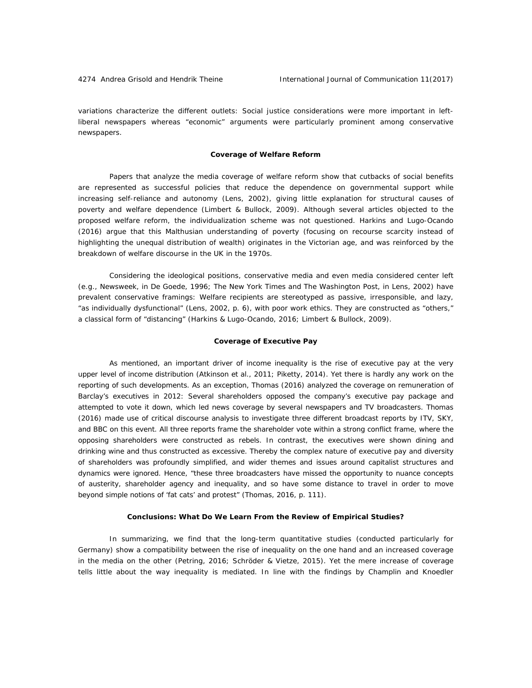variations characterize the different outlets: Social justice considerations were more important in leftliberal newspapers whereas "economic" arguments were particularly prominent among conservative newspapers.

#### *Coverage of Welfare Reform*

Papers that analyze the media coverage of welfare reform show that cutbacks of social benefits are represented as successful policies that reduce the dependence on governmental support while increasing self-reliance and autonomy (Lens, 2002), giving little explanation for structural causes of poverty and welfare dependence (Limbert & Bullock, 2009). Although several articles objected to the proposed welfare reform, the individualization scheme was not questioned. Harkins and Lugo-Ocando (2016) argue that this Malthusian understanding of poverty (focusing on recourse scarcity instead of highlighting the unequal distribution of wealth) originates in the Victorian age, and was reinforced by the breakdown of welfare discourse in the UK in the 1970s.

Considering the ideological positions, conservative media and even media considered center left (e.g., *Newsweek,* in De Goede, 1996; *The New York Times* and *The Washington Post,* in Lens, 2002) have prevalent conservative framings: Welfare recipients are stereotyped as passive, irresponsible, and lazy, "as individually dysfunctional" (Lens, 2002, p. 6), with poor work ethics. They are constructed as "others," a classical form of "distancing" (Harkins & Lugo-Ocando, 2016; Limbert & Bullock, 2009).

# *Coverage of Executive Pay*

As mentioned, an important driver of income inequality is the rise of executive pay at the very upper level of income distribution (Atkinson et al., 2011; Piketty, 2014). Yet there is hardly any work on the reporting of such developments. As an exception, Thomas (2016) analyzed the coverage on remuneration of Barclay's executives in 2012: Several shareholders opposed the company's executive pay package and attempted to vote it down, which led news coverage by several newspapers and TV broadcasters. Thomas (2016) made use of critical discourse analysis to investigate three different broadcast reports by ITV, SKY, and BBC on this event. All three reports frame the shareholder vote within a strong conflict frame, where the opposing shareholders were constructed as rebels. In contrast, the executives were shown dining and drinking wine and thus constructed as excessive. Thereby the complex nature of executive pay and diversity of shareholders was profoundly simplified, and wider themes and issues around capitalist structures and dynamics were ignored. Hence, "these three broadcasters have missed the opportunity to nuance concepts of austerity, shareholder agency and inequality, and so have some distance to travel in order to move beyond simple notions of 'fat cats' and protest" (Thomas, 2016, p. 111).

# *Conclusions: What Do We Learn From the Review of Empirical Studies?*

In summarizing, we find that the long-term quantitative studies (conducted particularly for Germany) show a compatibility between the rise of inequality on the one hand and an increased coverage in the media on the other (Petring, 2016; Schröder & Vietze, 2015). Yet the mere increase of coverage tells little about the way inequality is mediated. In line with the findings by Champlin and Knoedler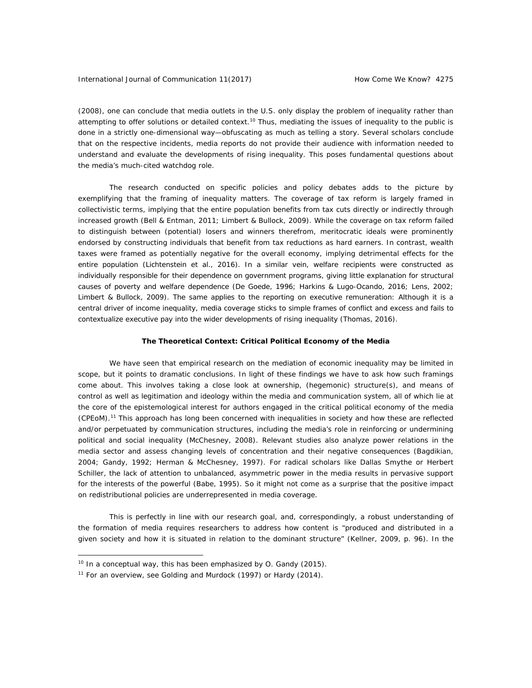(2008), one can conclude that media outlets in the U.S. only display the problem of inequality rather than attempting to offer solutions or detailed context.<sup>10</sup> Thus, mediating the issues of inequality to the public is done in a strictly one-dimensional way—obfuscating as much as telling a story. Several scholars conclude that on the respective incidents, media reports do not provide their audience with information needed to understand and evaluate the developments of rising inequality. This poses fundamental questions about the media's much-cited watchdog role.

The research conducted on specific policies and policy debates adds to the picture by exemplifying that the framing of inequality matters. The coverage of tax reform is largely framed in collectivistic terms, implying that the entire population benefits from tax cuts directly or indirectly through increased growth (Bell & Entman, 2011; Limbert & Bullock, 2009). While the coverage on tax reform failed to distinguish between (potential) losers and winners therefrom, meritocratic ideals were prominently endorsed by constructing individuals that benefit from tax reductions as hard earners. In contrast, wealth taxes were framed as potentially negative for the overall economy, implying detrimental effects for the entire population (Lichtenstein et al., 2016). In a similar vein, welfare recipients were constructed as individually responsible for their dependence on government programs, giving little explanation for structural causes of poverty and welfare dependence (De Goede, 1996; Harkins & Lugo-Ocando, 2016; Lens, 2002; Limbert & Bullock, 2009). The same applies to the reporting on executive remuneration: Although it is a central driver of income inequality, media coverage sticks to simple frames of conflict and excess and fails to contextualize executive pay into the wider developments of rising inequality (Thomas, 2016).

#### **The Theoretical Context: Critical Political Economy of the Media**

We have seen that empirical research on the mediation of economic inequality may be limited in scope, but it points to dramatic conclusions. In light of these findings we have to ask how such framings come about. This involves taking a close look at ownership, (hegemonic) structure(s), and means of control as well as legitimation and ideology within the media and communication system, all of which lie at the core of the epistemological interest for authors engaged in the critical political economy of the media (CPEoM).11 This approach has long been concerned with inequalities in society and how these are reflected and/or perpetuated by communication structures, including the media's role in reinforcing or undermining political and social inequality (McChesney, 2008). Relevant studies also analyze power relations in the media sector and assess changing levels of concentration and their negative consequences (Bagdikian, 2004; Gandy, 1992; Herman & McChesney, 1997). For radical scholars like Dallas Smythe or Herbert Schiller, the lack of attention to unbalanced, asymmetric power in the media results in pervasive support for the interests of the powerful (Babe, 1995). So it might not come as a surprise that the positive impact on redistributional policies are underrepresented in media coverage.

This is perfectly in line with our research goal, and, correspondingly, a robust understanding of the formation of media requires researchers to address how content is "produced and distributed in a given society and how it is situated in relation to the dominant structure" (Kellner, 2009, p. 96). In the

 $\overline{a}$ 

<sup>&</sup>lt;sup>10</sup> In a conceptual way, this has been emphasized by O. Gandy (2015).

<sup>&</sup>lt;sup>11</sup> For an overview, see Golding and Murdock (1997) or Hardy (2014).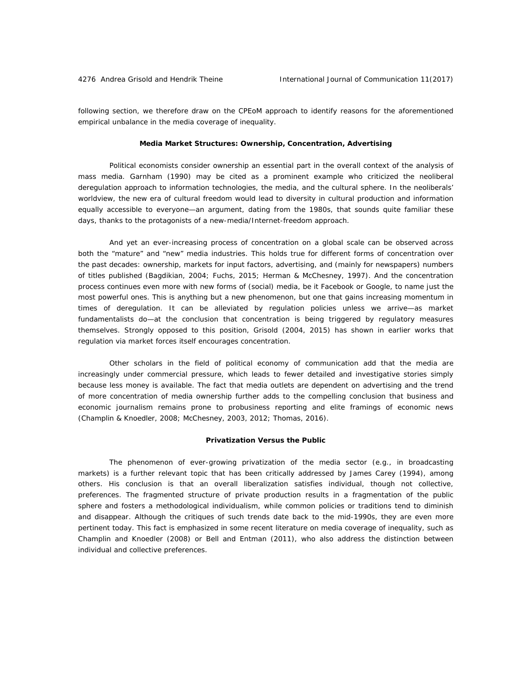following section, we therefore draw on the CPEoM approach to identify reasons for the aforementioned empirical unbalance in the media coverage of inequality.

#### *Media Market Structures: Ownership, Concentration, Advertising*

Political economists consider ownership an essential part in the overall context of the analysis of mass media. Garnham (1990) may be cited as a prominent example who criticized the neoliberal deregulation approach to information technologies, the media, and the cultural sphere. In the neoliberals' worldview, the new era of cultural freedom would lead to diversity in cultural production and information equally accessible to everyone—an argument, dating from the 1980s, that sounds quite familiar these days, thanks to the protagonists of a new-media/Internet-freedom approach.

And yet an ever-increasing process of concentration on a global scale can be observed across both the "mature" and "new" media industries. This holds true for different forms of concentration over the past decades: ownership, markets for input factors, advertising, and (mainly for newspapers) numbers of titles published (Bagdikian, 2004; Fuchs, 2015; Herman & McChesney, 1997). And the concentration process continues even more with new forms of (social) media, be it Facebook or Google, to name just the most powerful ones. This is anything but a new phenomenon, but one that gains increasing momentum in times of deregulation. It can be alleviated by regulation policies unless we arrive—as market fundamentalists do—at the conclusion that concentration is being triggered by regulatory measures themselves. Strongly opposed to this position, Grisold (2004, 2015) has shown in earlier works that regulation via market forces itself encourages concentration.

Other scholars in the field of political economy of communication add that the media are increasingly under commercial pressure, which leads to fewer detailed and investigative stories simply because less money is available. The fact that media outlets are dependent on advertising and the trend of more concentration of media ownership further adds to the compelling conclusion that business and economic journalism remains prone to probusiness reporting and elite framings of economic news (Champlin & Knoedler, 2008; McChesney, 2003, 2012; Thomas, 2016).

# *Privatization Versus the Public*

The phenomenon of ever-growing privatization of the media sector (e.g., in broadcasting markets) is a further relevant topic that has been critically addressed by James Carey (1994), among others. His conclusion is that an overall liberalization satisfies individual, though not collective, preferences. The fragmented structure of private production results in a fragmentation of the public sphere and fosters a methodological individualism, while common policies or traditions tend to diminish and disappear. Although the critiques of such trends date back to the mid-1990s, they are even more pertinent today. This fact is emphasized in some recent literature on media coverage of inequality, such as Champlin and Knoedler (2008) or Bell and Entman (2011), who also address the distinction between individual and collective preferences.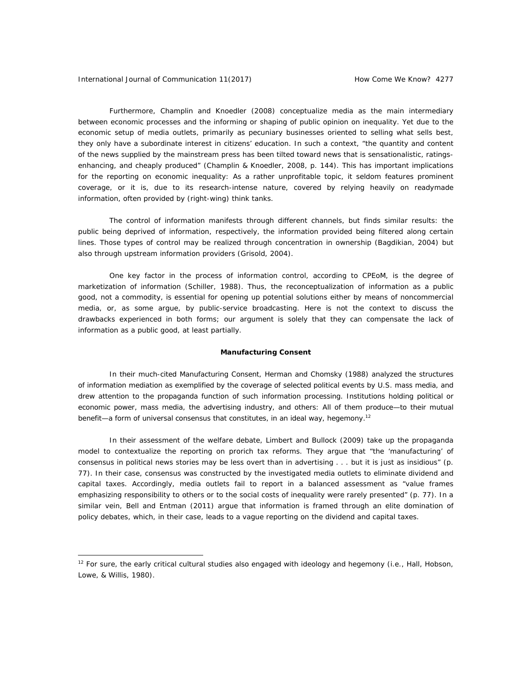Furthermore, Champlin and Knoedler (2008) conceptualize media as the main intermediary between economic processes and the informing or shaping of public opinion on inequality. Yet due to the economic setup of media outlets, primarily as pecuniary businesses oriented to selling what sells best, they only have a subordinate interest in citizens' education. In such a context, "the quantity and content of the news supplied by the mainstream press has been tilted toward news that is sensationalistic, ratingsenhancing, and cheaply produced" (Champlin & Knoedler, 2008, p. 144). This has important implications for the reporting on economic inequality: As a rather unprofitable topic, it seldom features prominent coverage, or it is, due to its research-intense nature, covered by relying heavily on readymade information, often provided by (right-wing) think tanks.

The control of information manifests through different channels, but finds similar results: the public being deprived of information, respectively, the information provided being filtered along certain lines. Those types of control may be realized through concentration in ownership (Bagdikian, 2004) but also through upstream information providers (Grisold, 2004).

One key factor in the process of information control, according to CPEoM, is the degree of marketization of information (Schiller, 1988). Thus, the reconceptualization of information as a public good, not a commodity, is essential for opening up potential solutions either by means of noncommercial media, or, as some argue, by public-service broadcasting. Here is not the context to discuss the drawbacks experienced in both forms; our argument is solely that they can compensate the lack of information as a public good, at least partially.

#### *Manufacturing Consent*

In their much-cited *Manufacturing Consent*, Herman and Chomsky (1988) analyzed the structures of information mediation as exemplified by the coverage of selected political events by U.S. mass media, and drew attention to the propaganda function of such information processing. Institutions holding political or economic power, mass media, the advertising industry, and others: All of them produce—to their mutual benefit—a form of universal consensus that constitutes, in an ideal way, hegemony.<sup>12</sup>

In their assessment of the welfare debate, Limbert and Bullock (2009) take up the propaganda model to contextualize the reporting on prorich tax reforms. They argue that "the 'manufacturing' of consensus in political news stories may be less overt than in advertising . . . but it is just as insidious" (p. 77). In their case, consensus was constructed by the investigated media outlets to eliminate dividend and capital taxes. Accordingly, media outlets fail to report in a balanced assessment as "value frames emphasizing responsibility to others or to the social costs of inequality were rarely presented" (p. 77). In a similar vein, Bell and Entman (2011) argue that information is framed through an elite domination of policy debates, which, in their case, leads to a vague reporting on the dividend and capital taxes.

 $12$  For sure, the early critical cultural studies also engaged with ideology and hegemony (i.e., Hall, Hobson, Lowe, & Willis, 1980).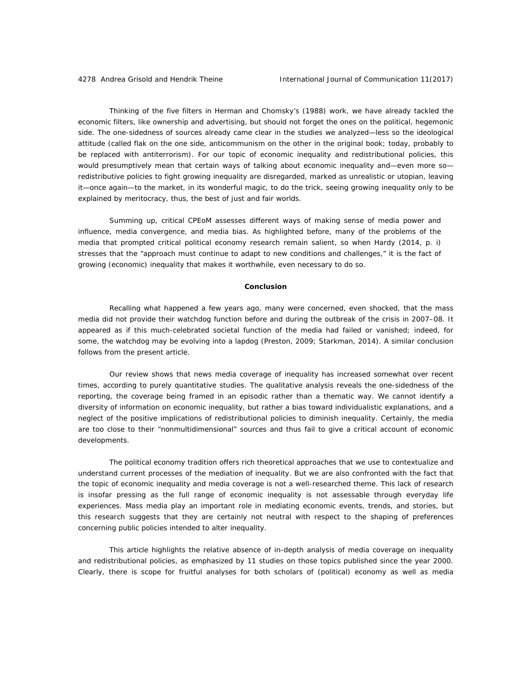Thinking of the five filters in Herman and Chomsky's (1988) work, we have already tackled the economic filters, like ownership and advertising, but should not forget the ones on the political, hegemonic side. The one-sidedness of sources already came clear in the studies we analyzed—less so the ideological attitude (called *flak* on the one side, *anticommunism* on the other in the original book; today, probably to be replaced with *antiterrorism*). For our topic of economic inequality and redistributional policies, this would presumptively mean that certain ways of talking about economic inequality and—even more so redistributive policies to fight growing inequality are disregarded, marked as unrealistic or utopian, leaving it—once again—to the market, in its wonderful magic, to do the trick, seeing growing inequality only to be explained by meritocracy, thus, the best of just and fair worlds.

Summing up, critical CPEoM assesses different ways of making sense of media power and influence, media convergence, and media bias. As highlighted before, many of the problems of the media that prompted critical political economy research remain salient, so when Hardy (2014, p. i) stresses that the "approach must continue to adapt to new conditions and challenges," it is the fact of growing (economic) inequality that makes it worthwhile, even necessary to do so.

# **Conclusion**

Recalling what happened a few years ago, many were concerned, even shocked, that the mass media did not provide their watchdog function before and during the outbreak of the crisis in 2007–08. It appeared as if this much-celebrated societal function of the media had failed or vanished; indeed, for some, the watchdog may be evolving into a lapdog (Preston, 2009; Starkman, 2014). A similar conclusion follows from the present article.

Our review shows that news media coverage of inequality has increased somewhat over recent times, according to purely quantitative studies. The qualitative analysis reveals the one-sidedness of the reporting, the coverage being framed in an episodic rather than a thematic way. We cannot identify a diversity of information on economic inequality, but rather a bias toward individualistic explanations, and a neglect of the positive implications of redistributional policies to diminish inequality. Certainly, the media are too close to their "nonmultidimensional" sources and thus fail to give a critical account of economic developments.

The political economy tradition offers rich theoretical approaches that we use to contextualize and understand current processes of the mediation of inequality. But we are also confronted with the fact that the topic of economic inequality and media coverage is not a well-researched theme. This lack of research is insofar pressing as the full range of economic inequality is not assessable through everyday life experiences. Mass media play an important role in mediating economic events, trends, and stories, but this research suggests that they are certainly not neutral with respect to the shaping of preferences concerning public policies intended to alter inequality.

This article highlights the relative absence of in-depth analysis of media coverage on inequality and redistributional policies, as emphasized by 11 studies on those topics published since the year 2000. Clearly, there is scope for fruitful analyses for both scholars of (political) economy as well as media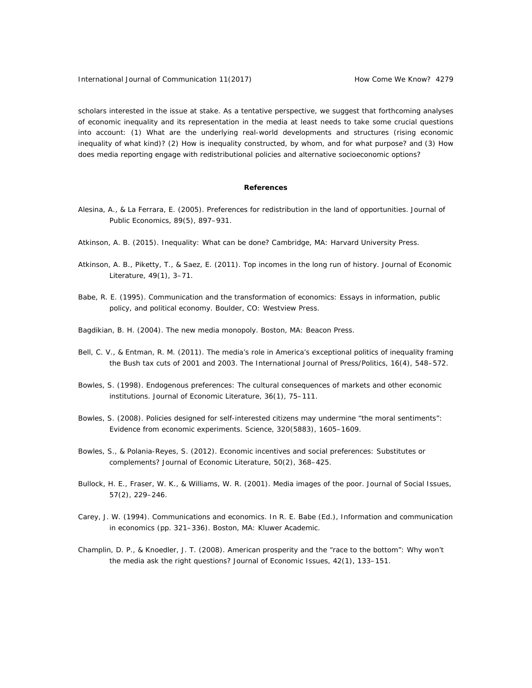scholars interested in the issue at stake. As a tentative perspective, we suggest that forthcoming analyses of economic inequality and its representation in the media at least needs to take some crucial questions into account: (1) What are the underlying real-world developments and structures (rising economic inequality of what kind)? (2) How is inequality constructed, by whom, and for what purpose? and (3) How does media reporting engage with redistributional policies and alternative socioeconomic options?

#### **References**

- Alesina, A., & La Ferrara, E. (2005). Preferences for redistribution in the land of opportunities. *Journal of Public Economics, 89*(5), 897–931.
- Atkinson, A. B. (2015). *Inequality: What can be done?* Cambridge, MA: Harvard University Press.
- Atkinson, A. B., Piketty, T., & Saez, E. (2011). Top incomes in the long run of history. *Journal of Economic Literature, 49*(1), 3–71.
- Babe, R. E. (1995). *Communication and the transformation of economics: Essays in information, public policy, and political economy*. Boulder, CO: Westview Press.
- Bagdikian, B. H. (2004). *The new media monopoly*. Boston, MA: Beacon Press.
- Bell, C. V., & Entman, R. M. (2011). The media's role in America's exceptional politics of inequality framing the Bush tax cuts of 2001 and 2003. *The International Journal of Press/Politics, 16*(4), 548–572.
- Bowles, S. (1998). Endogenous preferences: The cultural consequences of markets and other economic institutions. *Journal of Economic Literature, 36*(1), 75–111.
- Bowles, S. (2008). Policies designed for self-interested citizens may undermine "the moral sentiments": Evidence from economic experiments. *Science, 320*(5883), 1605–1609.
- Bowles, S., & Polania-Reyes, S. (2012). Economic incentives and social preferences: Substitutes or complements? *Journal of Economic Literature, 50*(2), 368–425.
- Bullock, H. E., Fraser, W. K., & Williams, W. R. (2001). Media images of the poor. *Journal of Social Issues, 57*(2), 229–246.
- Carey, J. W. (1994). Communications and economics. In R. E. Babe (Ed.), *Information and communication in economics* (pp. 321–336). Boston, MA: Kluwer Academic.
- Champlin, D. P., & Knoedler, J. T. (2008). American prosperity and the "race to the bottom": Why won't the media ask the right questions? *Journal of Economic Issues, 42*(1), 133–151.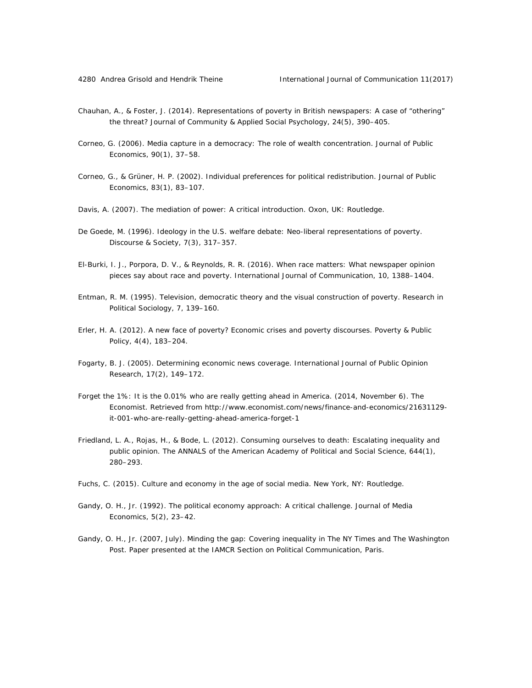- Chauhan, A., & Foster, J. (2014). Representations of poverty in British newspapers: A case of "othering" the threat? *Journal of Community & Applied Social Psychology, 24*(5), 390–405.
- Corneo, G. (2006). Media capture in a democracy: The role of wealth concentration. *Journal of Public Economics, 90*(1), 37–58.
- Corneo, G., & Grüner, H. P. (2002). Individual preferences for political redistribution. *Journal of Public Economics, 83*(1), 83–107.
- Davis, A. (2007). *The mediation of power: A critical introduction*. Oxon, UK: Routledge.
- De Goede, M. (1996). Ideology in the U.S. welfare debate: Neo-liberal representations of poverty. *Discourse & Society, 7*(3), 317–357.
- El-Burki, I. J., Porpora, D. V., & Reynolds, R. R. (2016). When race matters: What newspaper opinion pieces say about race and poverty. *International Journal of Communication, 10*, 1388–1404.
- Entman, R. M. (1995). Television, democratic theory and the visual construction of poverty. *Research in Political Sociology, 7*, 139–160.
- Erler, H. A. (2012). A new face of poverty? Economic crises and poverty discourses. *Poverty & Public Policy, 4*(4), 183–204.
- Fogarty, B. J. (2005). Determining economic news coverage. *International Journal of Public Opinion Research, 17*(2), 149–172.
- Forget the 1%: It is the 0.01% who are really getting ahead in America. (2014, November 6). *The Economist*. Retrieved from http://www.economist.com/news/finance-and-economics/21631129 it-001-who-are-really-getting-ahead-america-forget-1
- Friedland, L. A., Rojas, H., & Bode, L. (2012). Consuming ourselves to death: Escalating inequality and public opinion. *The ANNALS of the American Academy of Political and Social Science, 644*(1), 280–293.
- Fuchs, C. (2015). *Culture and economy in the age of social media*. New York, NY: Routledge.
- Gandy, O. H., Jr. (1992). The political economy approach: A critical challenge. *Journal of Media Economics, 5*(2), 23–42.
- Gandy, O. H., Jr. (2007, July). *Minding the gap: Covering inequality in* The NY Times *and* The Washington Post. Paper presented at the IAMCR Section on Political Communication, Paris.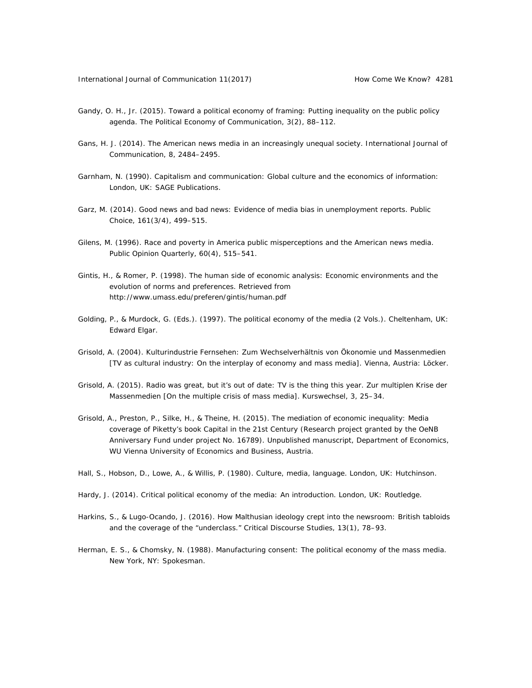- Gandy, O. H., Jr. (2015). Toward a political economy of framing: Putting inequality on the public policy agenda. *The Political Economy of Communication, 3*(2), 88–112.
- Gans, H. J. (2014). The American news media in an increasingly unequal society. *International Journal of Communication, 8*, 2484–2495.
- Garnham, N. (1990). *Capitalism and communication: Global culture and the economics of information*: London, UK: SAGE Publications.
- Garz, M. (2014). Good news and bad news: Evidence of media bias in unemployment reports. *Public Choice, 161*(3/4), 499–515.
- Gilens, M. (1996). Race and poverty in America public misperceptions and the American news media. *Public Opinion Quarterly, 60*(4), 515–541.
- Gintis, H., & Romer, P. (1998). *The human side of economic analysis: Economic environments and the evolution of norms and preferences*. Retrieved from http://www.umass.edu/preferen/gintis/human.pdf
- Golding, P., & Murdock, G. (Eds.). (1997). *The political economy of the media* (2 Vols.). Cheltenham, UK: Edward Elgar.
- Grisold, A. (2004). *Kulturindustrie Fernsehen: Zum Wechselverhältnis von Ökonomie und Massenmedien*  [TV as cultural industry: On the interplay of economy and mass media]. Vienna, Austria: Löcker.
- Grisold, A. (2015). Radio was great, but it's out of date: TV is the thing this year. Zur multiplen Krise der Massenmedien [On the multiple crisis of mass media]. *Kurswechsel, 3*, 25–34.
- Grisold, A., Preston, P., Silke, H., & Theine, H. (2015). *The mediation of economic inequality: Media coverage of Piketty's book* Capital in the 21st Century (Research project granted by the OeNB Anniversary Fund under project No. 16789). Unpublished manuscript, Department of Economics, WU Vienna University of Economics and Business, Austria.
- Hall, S., Hobson, D., Lowe, A., & Willis, P. (1980). *Culture, media, language*. London, UK: Hutchinson.
- Hardy, J. (2014). *Critical political economy of the media: An introduction*. London, UK: Routledge.
- Harkins, S., & Lugo-Ocando, J. (2016). How Malthusian ideology crept into the newsroom: British tabloids and the coverage of the "underclass." *Critical Discourse Studies, 13*(1), 78–93.
- Herman, E. S., & Chomsky, N. (1988). *Manufacturing consent: The political economy of the mass media*. New York, NY: Spokesman.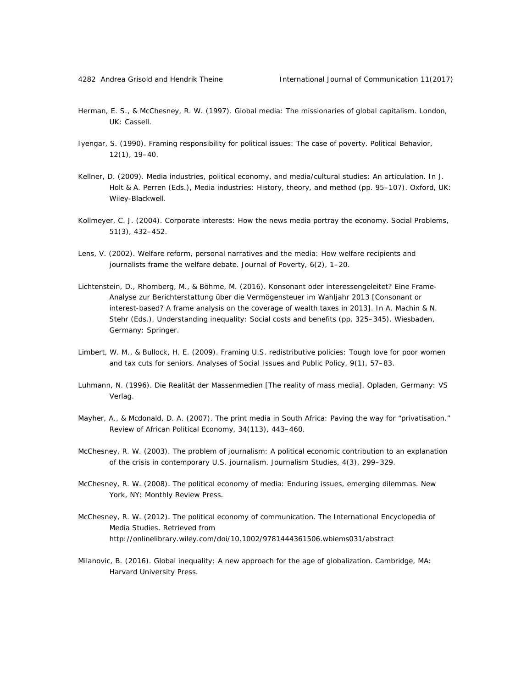- Herman, E. S., & McChesney, R. W. (1997). *Global media: The missionaries of global capitalism*. London, UK: Cassell.
- Iyengar, S. (1990). Framing responsibility for political issues: The case of poverty. *Political Behavior, 12*(1), 19–40.
- Kellner, D. (2009). Media industries, political economy, and media/cultural studies: An articulation. In J. Holt & A. Perren (Eds.), *Media industries: History, theory, and method* (pp. 95–107). Oxford, UK: Wiley-Blackwell.
- Kollmeyer, C. J. (2004). Corporate interests: How the news media portray the economy. *Social Problems, 51*(3), 432–452.
- Lens, V. (2002). Welfare reform, personal narratives and the media: How welfare recipients and journalists frame the welfare debate. *Journal of Poverty, 6*(2), 1–20.
- Lichtenstein, D., Rhomberg, M., & Böhme, M. (2016). Konsonant oder interessengeleitet? Eine Frame-Analyse zur Berichterstattung über die Vermögensteuer im Wahljahr 2013 [Consonant or interest-based? A frame analysis on the coverage of wealth taxes in 2013]. In A. Machin & N. Stehr (Eds.), *Understanding inequality: Social costs and benefits* (pp. 325–345). Wiesbaden, Germany: Springer.
- Limbert, W. M., & Bullock, H. E. (2009). Framing U.S. redistributive policies: Tough love for poor women and tax cuts for seniors. *Analyses of Social Issues and Public Policy, 9*(1), 57–83.
- Luhmann, N. (1996). *Die Realität der Massenmedien* [The reality of mass media]. Opladen, Germany: VS Verlag.
- Mayher, A., & Mcdonald, D. A. (2007). The print media in South Africa: Paving the way for "privatisation." *Review of African Political Economy, 34*(113), 443–460.
- McChesney, R. W. (2003). The problem of journalism: A political economic contribution to an explanation of the crisis in contemporary U.S. journalism. *Journalism Studies, 4*(3), 299–329.
- McChesney, R. W. (2008). *The political economy of media: Enduring issues, emerging dilemmas*. New York, NY: Monthly Review Press.
- McChesney, R. W. (2012). The political economy of communication. *The International Encyclopedia of Media Studies*. Retrieved from http://onlinelibrary.wiley.com/doi/10.1002/9781444361506.wbiems031/abstract
- Milanovic, B. (2016). *Global inequality: A new approach for the age of globalization*. Cambridge, MA: Harvard University Press.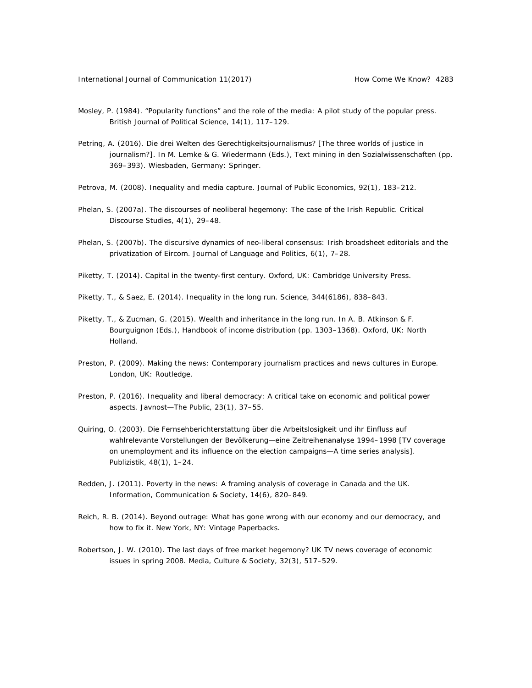- Mosley, P. (1984). "Popularity functions" and the role of the media: A pilot study of the popular press. *British Journal of Political Science, 14*(1), 117–129.
- Petring, A. (2016). Die drei Welten des Gerechtigkeitsjournalismus? [The three worlds of justice in journalism?]. In M. Lemke & G. Wiedermann (Eds.), *Text mining in den Sozialwissenschaften* (pp. 369–393). Wiesbaden, Germany: Springer.
- Petrova, M. (2008). Inequality and media capture. *Journal of Public Economics, 92*(1), 183–212.
- Phelan, S. (2007a). The discourses of neoliberal hegemony: The case of the Irish Republic. *Critical Discourse Studies, 4*(1), 29–48.
- Phelan, S. (2007b). The discursive dynamics of neo-liberal consensus: Irish broadsheet editorials and the privatization of Eircom. *Journal of Language and Politics, 6*(1), 7–28.
- Piketty, T. (2014). *Capital in the twenty-first century*. Oxford, UK: Cambridge University Press.
- Piketty, T., & Saez, E. (2014). Inequality in the long run. *Science, 344*(6186), 838–843.
- Piketty, T., & Zucman, G. (2015). Wealth and inheritance in the long run. In A. B. Atkinson & F. Bourguignon (Eds.), *Handbook of income distribution* (pp. 1303–1368). Oxford, UK: North Holland.
- Preston, P. (2009). *Making the news: Contemporary journalism practices and news cultures in Europe*. London, UK: Routledge.
- Preston, P. (2016). Inequality and liberal democracy: A critical take on economic and political power aspects. *Javnost—The Public, 23*(1), 37–55.
- Quiring, O. (2003). Die Fernsehberichterstattung über die Arbeitslosigkeit und ihr Einfluss auf wahlrelevante Vorstellungen der Bevölkerung—eine Zeitreihenanalyse 1994–1998 [TV coverage on unemployment and its influence on the election campaigns—A time series analysis]. *Publizistik, 48*(1), 1–24.
- Redden, J. (2011). Poverty in the news: A framing analysis of coverage in Canada and the UK. *Information, Communication & Society, 14*(6), 820–849.
- Reich, R. B. (2014). *Beyond outrage: What has gone wrong with our economy and our democracy, and how to fix it*. New York, NY: Vintage Paperbacks.
- Robertson, J. W. (2010). The last days of free market hegemony? UK TV news coverage of economic issues in spring 2008. *Media, Culture & Society, 32*(3), 517–529.